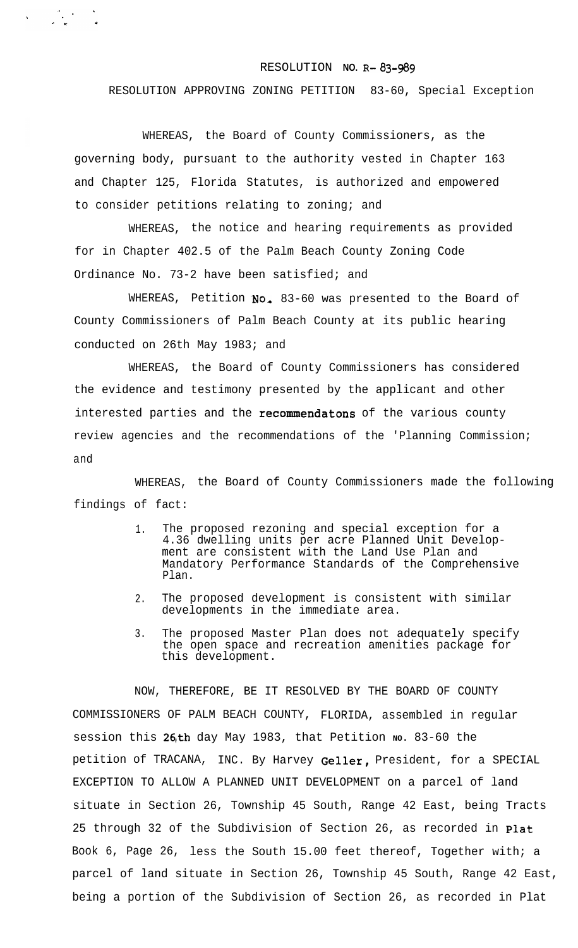## RESOLUTION **NO.** R-83-989

RESOLUTION APPROVING ZONING PETITION 83-60, Special Exception

WHEREAS, the Board of County Commissioners, as the governing body, pursuant to the authority vested in Chapter 163 and Chapter 125, Florida Statutes, is authorized and empowered to consider petitions relating to zoning; and

WHEREAS, the notice and hearing requirements as provided for in Chapter 402.5 of the Palm Beach County Zoning Code Ordinance No. 73-2 have been satisfied; and

WHEREAS, Petition No. 83-60 was presented to the Board of County Commissioners of Palm Beach County at its public hearing conducted on 26th May 1983; and

WHEREAS, the Board of County Commissioners has considered the evidence and testimony presented by the applicant and other interested parties and the recommendatons of the various county review agencies and the recommendations of the 'Planning Commission; and

WHEREAS, the Board of County Commissioners made the following findings of fact:

- 1. The proposed rezoning and special exception for a 4.36 dwelling units per acre Planned Unit Development are consistent with the Land Use Plan and Mandatory Performance Standards of the Comprehensive Plan.
- 2. The proposed development is consistent with similar developments in the immediate area.
- 3. The proposed Master Plan does not adequately specify the open space and recreation amenities package for this development.

NOW, THEREFORE, BE IT RESOLVED BY THE BOARD OF COUNTY COMMISSIONERS OF PALM BEACH COUNTY, FLORIDA, assembled in regular session this 26<sub><sup>th day May 1983, that Petition No. 83-60 the</sub></sup> petition of TRACANA, INC. By Harvey Geller, President, for a SPECIAL EXCEPTION TO ALLOW A PLANNED UNIT DEVELOPMENT on a parcel of land situate in Section 26, Township 45 South, Range 42 East, being Tracts 25 through 32 of the Subdivision of Section 26, as recorded in Plat Book 6, Page 26, less the South 15.00 feet thereof, Together with; a parcel of land situate in Section 26, Township 45 South, Range 42 East, being a portion of the Subdivision of Section 26, as recorded in Plat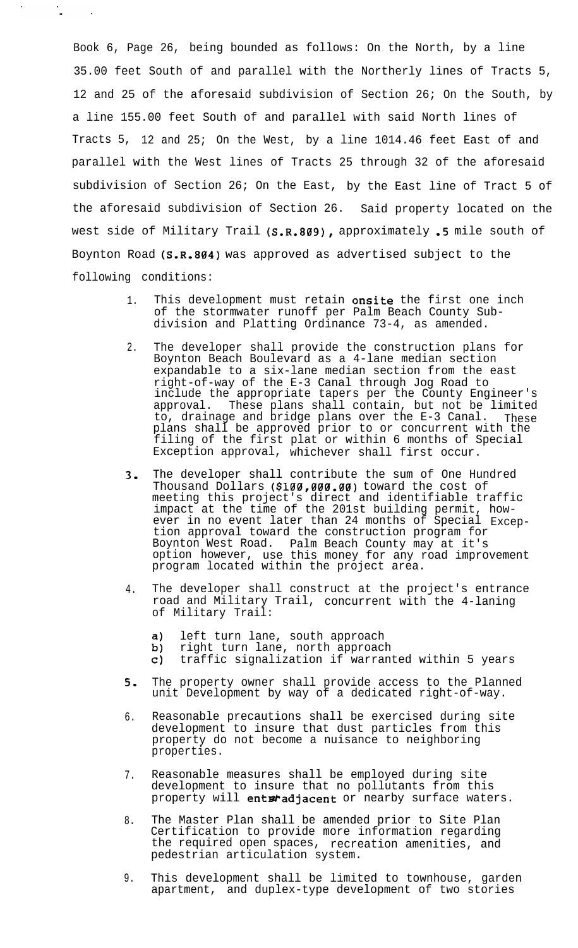Book 6, Page 26, being bounded as follows: On the North, by a line 35.00 feet South of and parallel with the Northerly lines of Tracts 5, 12 and 25 of the aforesaid subdivision of Section 26; On the South, by a line 155.00 feet South of and parallel with said North lines of Tracts 5, 12 and 25; On the West, by a line 1014.46 feet East of and parallel with the West lines of Tracts 25 through 32 of the aforesaid subdivision of Section 26; On the East, by the East line of Tract 5 of the aforesaid subdivision of Section 26. Said property located on the west side of Military Trail (S.R.809), approximately .5 mile south of Boynton Road (S.R.804) was approved as advertised subject to the following conditions:

- 1. This development must retain onsite the first one inch of the stormwater runoff per Palm Beach County Subdivision and Platting Ordinance 73-4, as amended.
- 2. The developer shall provide the construction plans for Boynton Beach Boulevard as a 4-lane median section expandable to a six-lane median section from the east right-of-way of the E-3 Canal through Jog Road to include the appropriate tapers per the County Engineer's approval. These plans shall contain, but not be limited to, drainage and bridge plans over the E-3 Canal. These plans shall be approved prior to or concurrent with the filing of the first plat or within 6 months of Special Exception approval, whichever shall first occur.
- 3, The developer shall contribute the sum of One Hundred Thousand Dollars (\$100,000,00) toward the cost of meeting this project's direct and identifiable traffic impact at the time of the 201st building permit, however in no event later than 24 months of Special Exception approval toward the construction program for Boynton West Road. option however, Palm Beach County may at it's use this money for any road improvement program located within the project area.
- 4. The developer shall construct at the project's entrance road and Military Trail, concurrent with the 4-laning of Military Trail:
	- left turn lane, south approach a)
	- $b)$ right turn lane, north approach
	- c) traffic signalization if warranted within 5 years
- 5. The property owner shall provide access to the Planned unit Development by way of a dedicated right-of-way.
- 6. Reasonable precautions shall be exercised during site development to insure that dust particles from this property do not become a nuisance to neighboring properties.
- 7. Reasonable measures shall be employed during site development to insure that no pollutants from this property will entaradjacent or nearby surface waters.
- 8. The Master Plan shall be amended prior to Site Plan Certification to provide more information regarding the required open spaces, recreation amenities, and pedestrian articulation system.
- 9. This development shall be limited to townhouse, garden apartment, and duplex-type development of two stories